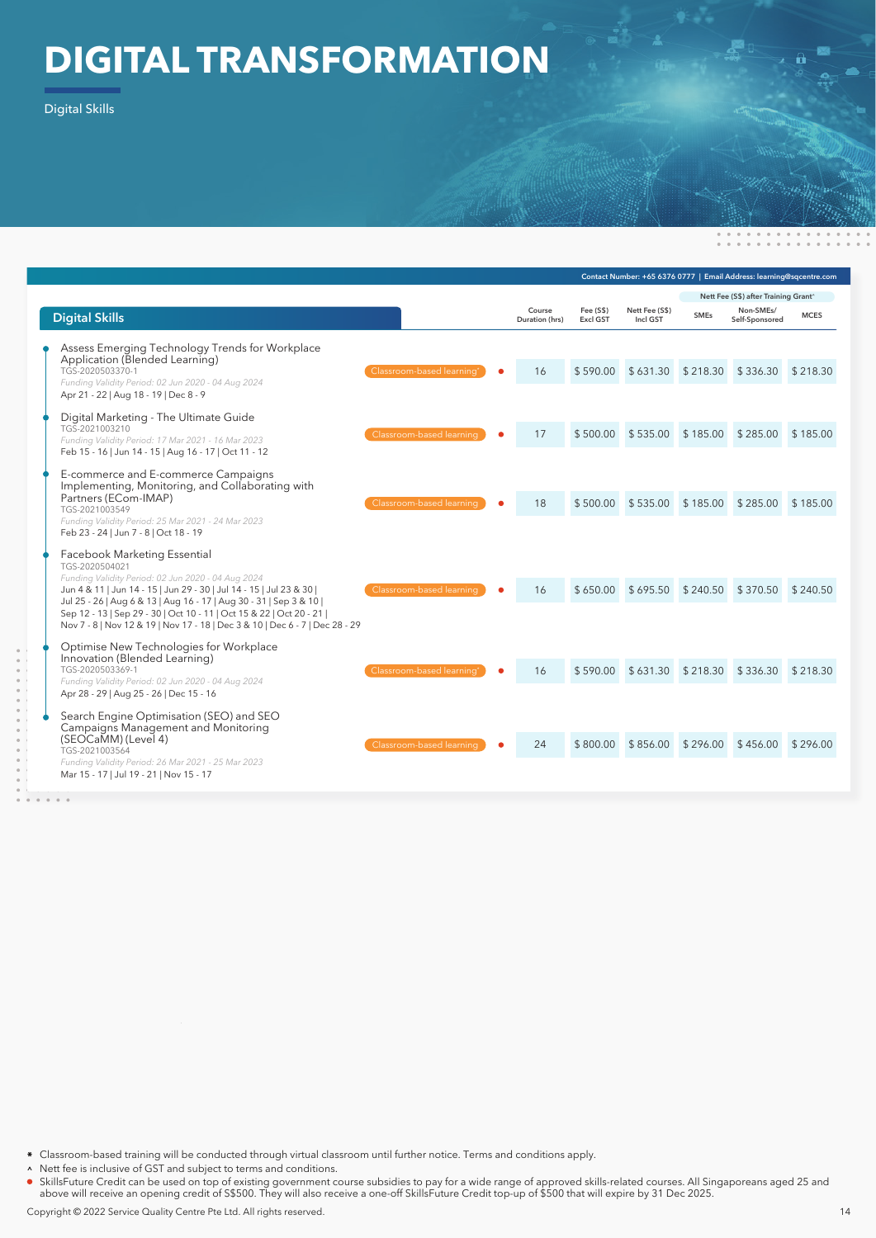## **DIGITAL TRANSFORMATION**

Digital Skills

|                                                                                                                                                                                                                                                                                                                                                                                                              |                           |                          | Contact Number: +65 6376 0777   Email Address: learning@sqcentre.com |                            |                                      |                             |             |  |
|--------------------------------------------------------------------------------------------------------------------------------------------------------------------------------------------------------------------------------------------------------------------------------------------------------------------------------------------------------------------------------------------------------------|---------------------------|--------------------------|----------------------------------------------------------------------|----------------------------|--------------------------------------|-----------------------------|-------------|--|
|                                                                                                                                                                                                                                                                                                                                                                                                              |                           |                          |                                                                      |                            | Nett Fee (S\$) after Training Grant^ |                             |             |  |
| <b>Digital Skills</b>                                                                                                                                                                                                                                                                                                                                                                                        |                           | Course<br>Duration (hrs) | Fee (S\$)<br><b>Excl GST</b>                                         | Nett Fee (S\$)<br>Incl GST | <b>SMEs</b>                          | Non-SMEs/<br>Self-Sponsored | <b>MCES</b> |  |
| Assess Emerging Technology Trends for Workplace<br>Application (Blended Learning)<br>TGS-2020503370-1<br>Funding Validity Period: 02 Jun 2020 - 04 Aug 2024<br>Apr 21 - 22   Aug 18 - 19   Dec 8 - 9                                                                                                                                                                                                         | Classroom-based learning* | 16                       | \$590.00                                                             | \$631.30                   | \$218.30                             | \$336.30 \$218.30           |             |  |
| Digital Marketing - The Ultimate Guide<br>TGS-2021003210<br>Funding Validity Period: 17 Mar 2021 - 16 Mar 2023<br>Feb 15 - 16   Jun 14 - 15   Aug 16 - 17   Oct 11 - 12                                                                                                                                                                                                                                      | Classroom-based learning  | 17                       | \$500.00                                                             | \$535.00                   | \$185.00                             | \$285.00 \$185.00           |             |  |
| E-commerce and E-commerce Campaigns<br>Implementing, Monitoring, and Collaborating with<br>Partners (ECom-IMAP)<br>TGS-2021003549<br>Funding Validity Period: 25 Mar 2021 - 24 Mar 2023<br>Feb 23 - 24   Jun 7 - 8   Oct 18 - 19                                                                                                                                                                             | Classroom-based learning  | 18                       | \$500.00                                                             | \$535.00                   | \$185.00                             | \$285.00 \$185.00           |             |  |
| Facebook Marketing Essential<br>TGS-2020504021<br>Funding Validity Period: 02 Jun 2020 - 04 Aug 2024<br>Jun 4 & 11   Jun 14 - 15   Jun 29 - 30   Jul 14 - 15   Jul 23 & 30  <br>Jul 25 - 26   Aug 6 & 13   Aug 16 - 17   Aug 30 - 31   Sep 3 & 10  <br>Sep 12 - 13   Sep 29 - 30   Oct 10 - 11   Oct 15 & 22   Oct 20 - 21  <br>Nov 7 - 8   Nov 12 & 19   Nov 17 - 18   Dec 3 & 10   Dec 6 - 7   Dec 28 - 29 | Classroom-based learning  | 16                       | \$650.00                                                             | \$695.50                   | \$240.50                             | \$370.50 \$240.50           |             |  |
| Optimise New Technologies for Workplace<br>Innovation (Blended Learning)<br>TGS-2020503369-1<br>Funding Validity Period: 02 Jun 2020 - 04 Aug 2024<br>Apr 28 - 29   Aug 25 - 26   Dec 15 - 16                                                                                                                                                                                                                | Classroom-based learning  | 16                       | \$590.00                                                             | \$631.30                   | \$218.30                             | \$336.30 \$218.30           |             |  |
| Search Engine Optimisation (SEO) and SEO<br>Campaigns Management and Monitoring<br>(SEOCaMM) (Level 4)<br>TGS-2021003564<br>Funding Validity Period: 26 Mar 2021 - 25 Mar 2023<br>Mar 15 - 17   Jul 19 - 21   Nov 15 - 17                                                                                                                                                                                    | Classroom-based learning  | 24                       | \$800.00                                                             | \$856.00                   | \$296.00                             | \$456.00                    | \$296.00    |  |

Classroom-based training will be conducted through virtual classroom until further notice. Terms and conditions apply.  $\ast$ 

A Nett fee is inclusive of GST and subject to terms and conditions.

SkillsFuture Credit can be used on top of existing government course subsidies to pay for a wide range of approved skills-related courses. All Singaporeans aged 25 and above will receive an opening credit of S\$500. They will also receive a one-off SkillsFuture Credit top-up of \$500 that will expire by 31 Dec 2025.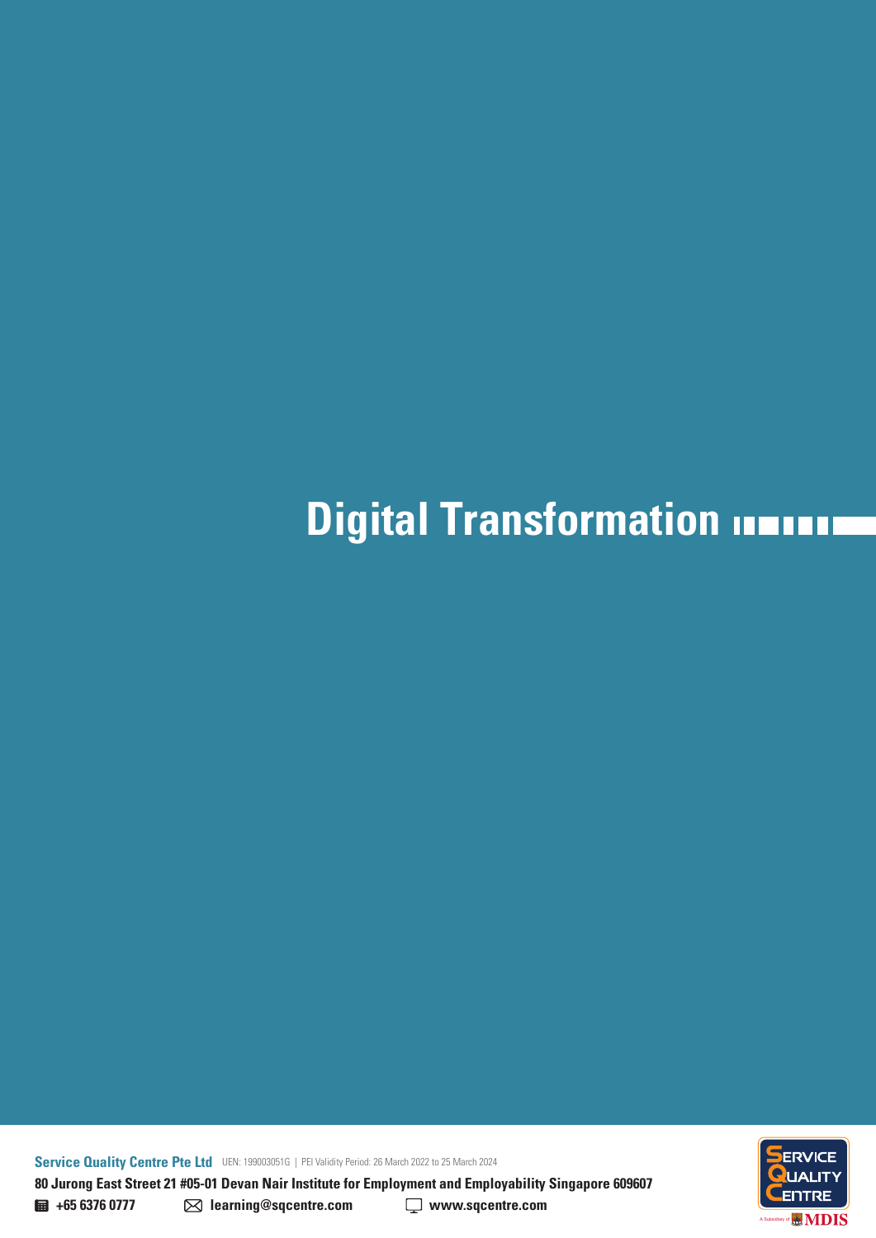**80 Jurong East Street 21 #05-01 Devan Nair Institute for Employment and Employability Singapore 609607 Service Quality Centre Pte Ltd** UEN: 199003051G | PEI Validity Period: 26 March 2022 to 25 March 2024

ENTRE **MDIS** A Subsidiary of

**+65 6376 0777 learning@sqcentre.com www.sqcentre.com**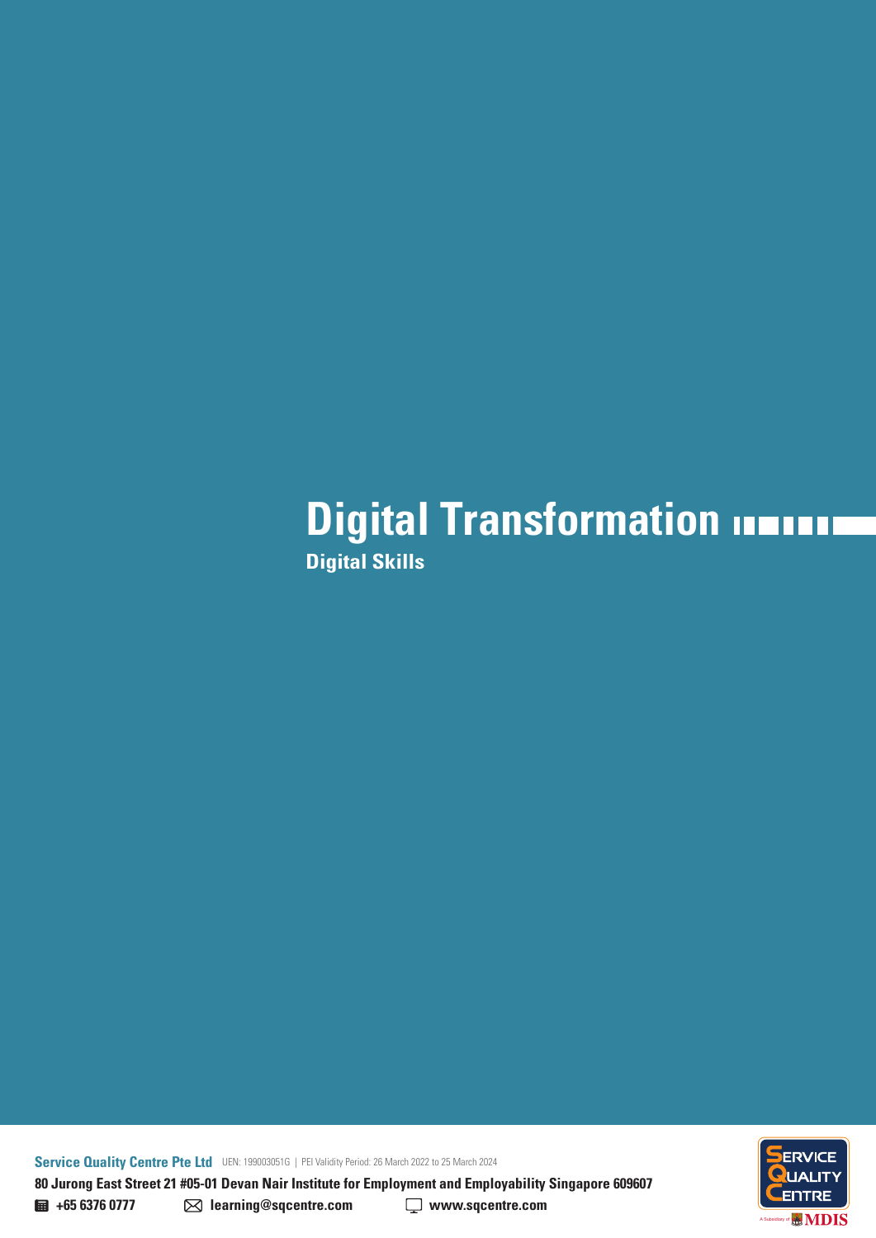## **Digital Transformation Digital Skills**

**80 Jurong East Street 21 #05-01 Devan Nair Institute for Employment and Employability Singapore 609607 Service Quality Centre Pte Ltd** UEN: 199003051G | PEI Validity Period: 26 March 2022 to 25 March 2024

**ENTRE MDIS** A Subsidiary of

**+65 6376 0777 learning@sqcentre.com www.sqcentre.com**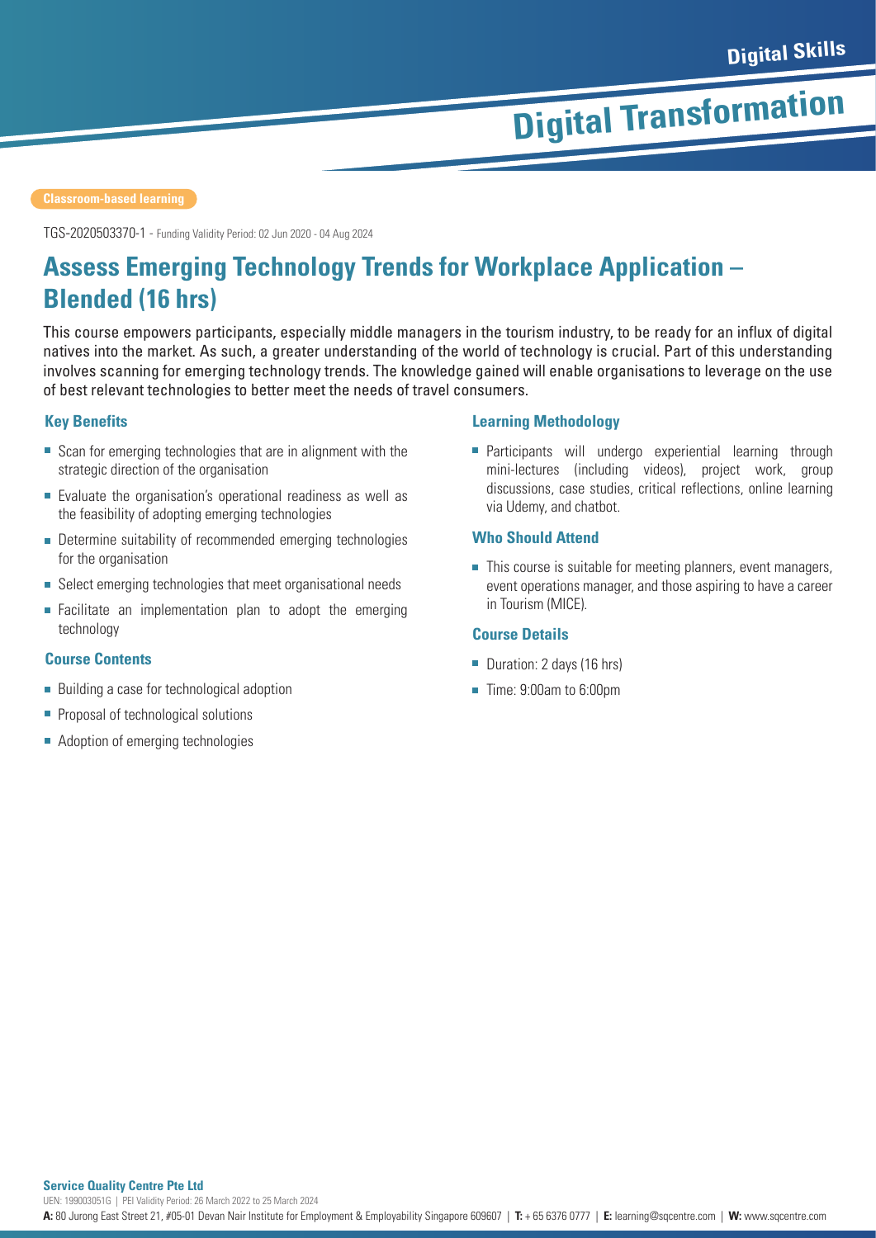TGS-2020503370-1 - Funding Validity Period: 02 Jun 2020 - 04 Aug 2024

## **Assess Emerging Technology Trends for Workplace Application – Blended (16 hrs)**

This course empowers participants, especially middle managers in the tourism industry, to be ready for an influx of digital natives into the market. As such, a greater understanding of the world of technology is crucial. Part of this understanding involves scanning for emerging technology trends. The knowledge gained will enable organisations to leverage on the use of best relevant technologies to better meet the needs of travel consumers.

### **Key Benefits**

- Scan for emerging technologies that are in alignment with the strategic direction of the organisation
- Evaluate the organisation's operational readiness as well as the feasibility of adopting emerging technologies
- **Determine suitability of recommended emerging technologies** for the organisation
- Select emerging technologies that meet organisational needs
- $\blacksquare$ Facilitate an implementation plan to adopt the emerging technology

### **Course Contents**

- Building a case for technological adoption
- **Proposal of technological solutions**
- Adoption of emerging technologies

### **Learning Methodology**

**Participants will undergo experiential learning through** mini-lectures (including videos), project work, group discussions, case studies, critical reflections, online learning via Udemy, and chatbot.

### **Who Should Attend**

■ This course is suitable for meeting planners, event managers, event operations manager, and those aspiring to have a career in Tourism (MICE).

### **Course Details**

- Duration: 2 days (16 hrs)
- Time: 9:00am to 6:00pm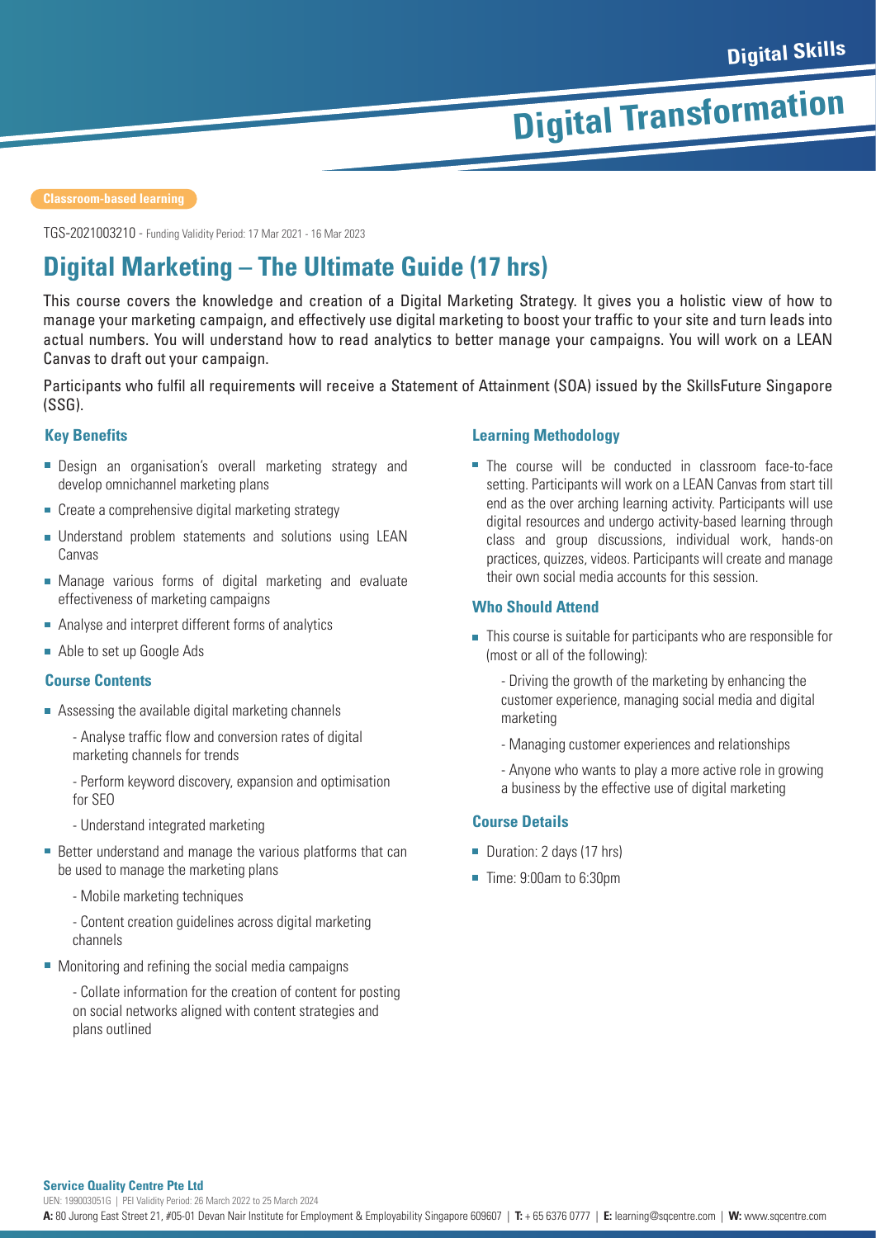TGS-2021003210 - Funding Validity Period: 17 Mar 2021 - 16 Mar 2023

## **Digital Marketing – The Ultimate Guide (17 hrs)**

This course covers the knowledge and creation of a Digital Marketing Strategy. It gives you a holistic view of how to manage your marketing campaign, and effectively use digital marketing to boost your traffic to your site and turn leads into actual numbers. You will understand how to read analytics to better manage your campaigns. You will work on a LEAN Canvas to draft out your campaign.

Participants who fulfil all requirements will receive a Statement of Attainment (SOA) issued by the SkillsFuture Singapore (SSG).

### **Key Benefits**

- **Design an organisation's overall marketing strategy and** develop omnichannel marketing plans
- Create a comprehensive digital marketing strategy
- Understand problem statements and solutions using LEAN Canvas
- Manage various forms of digital marketing and evaluate effectiveness of marketing campaigns
- Analyse and interpret different forms of analytics
- Able to set up Google Ads

### **Course Contents**

- Assessing the available digital marketing channels
	- Analyse traffic flow and conversion rates of digital marketing channels for trends
	- Perform keyword discovery, expansion and optimisation for SEO
	- Understand integrated marketing
- Better understand and manage the various platforms that can be used to manage the marketing plans
	- Mobile marketing techniques
	- Content creation guidelines across digital marketing channels
- Monitoring and refining the social media campaigns

- Collate information for the creation of content for posting on social networks aligned with content strategies and plans outlined

### **Learning Methodology**

■ The course will be conducted in classroom face-to-face setting. Participants will work on a LEAN Canvas from start till end as the over arching learning activity. Participants will use digital resources and undergo activity-based learning through class and group discussions, individual work, hands-on practices, quizzes, videos. Participants will create and manage their own social media accounts for this session.

### **Who Should Attend**

- This course is suitable for participants who are responsible for (most or all of the following):
	- Driving the growth of the marketing by enhancing the customer experience, managing social media and digital marketing
	- Managing customer experiences and relationships
	- Anyone who wants to play a more active role in growing a business by the effective use of digital marketing

### **Course Details**

- Duration: 2 days (17 hrs)
- Time: 9:00am to 6:30pm

#### **Service Quality Centre Pte Ltd**

UEN: 199003051G | PEI Validity Period: 26 March 2022 to 25 March 2024

**A:** 80 Jurong East Street 21, #05-01 Devan Nair Institute for Employment & Employability Singapore 609607 | **T:** + 65 6376 0777 | **E:** learning@sqcentre.com | **W:** www.sqcentre.com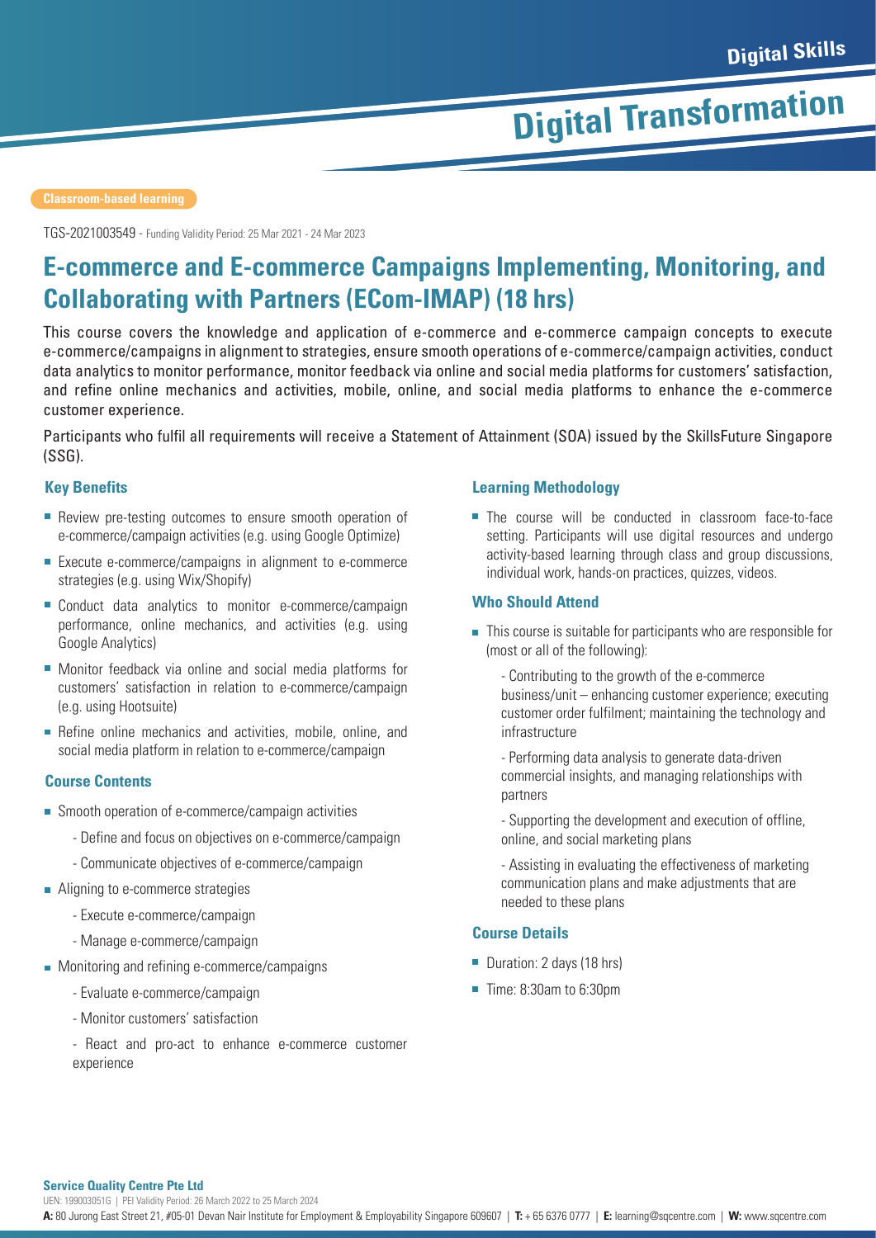TGS-2021003549 - Funding Validity Period: 25 Mar 2021 - 24 Mar 2023

### **E-commerce and E-commerce Campaigns Implementing, Monitoring, and Collaborating with Partners (ECom-IMAP) (18 hrs)**

This course covers the knowledge and application of e-commerce and e-commerce campaign concepts to execute e-commerce/campaigns in alignment to strategies, ensure smooth operations of e-commerce/campaign activities, conduct data analytics to monitor performance, monitor feedback via online and social media platforms for customers' satisfaction, and refine online mechanics and activities, mobile, online, and social media platforms to enhance the e-commerce customer experience.

Participants who fulfil all requirements will receive a Statement of Attainment (SOA) issued by the SkillsFuture Singapore (SSG).

### **Key Benefits**

- Review pre-testing outcomes to ensure smooth operation of e-commerce/campaign activities (e.g. using Google Optimize)
- Execute e-commerce/campaigns in alignment to e-commerce strategies (e.g. using Wix/Shopify)
- Conduct data analytics to monitor e-commerce/campaign performance, online mechanics, and activities (e.g. using Google Analytics)
- Monitor feedback via online and social media platforms for customers' satisfaction in relation to e-commerce/campaign (e.g. using Hootsuite)
- Refine online mechanics and activities, mobile, online, and social media platform in relation to e-commerce/campaign

### **Course Contents**

- Smooth operation of e-commerce/campaign activities
	- Define and focus on objectives on e-commerce/campaign
	- Communicate objectives of e-commerce/campaign
- **Aligning to e-commerce strategies** 
	- Execute e-commerce/campaign
	- Manage e-commerce/campaign
- **Monitoring and refining e-commerce/campaigns** 
	- Evaluate e-commerce/campaign
	- Monitor customers' satisfaction
	- React and pro-act to enhance e-commerce customer experience

### **Learning Methodology**

■ The course will be conducted in classroom face-to-face setting. Participants will use digital resources and undergo activity-based learning through class and group discussions, individual work, hands-on practices, quizzes, videos.

### **Who Should Attend**

- This course is suitable for participants who are responsible for (most or all of the following):
	- Contributing to the growth of the e-commerce business/unit – enhancing customer experience; executing customer order fulfilment; maintaining the technology and infrastructure
	- Performing data analysis to generate data-driven commercial insights, and managing relationships with partners
	- Supporting the development and execution of offline, online, and social marketing plans
	- Assisting in evaluating the effectiveness of marketing communication plans and make adjustments that are needed to these plans

### **Course Details**

- Duration: 2 days (18 hrs)
- Time: 8:30am to 6:30pm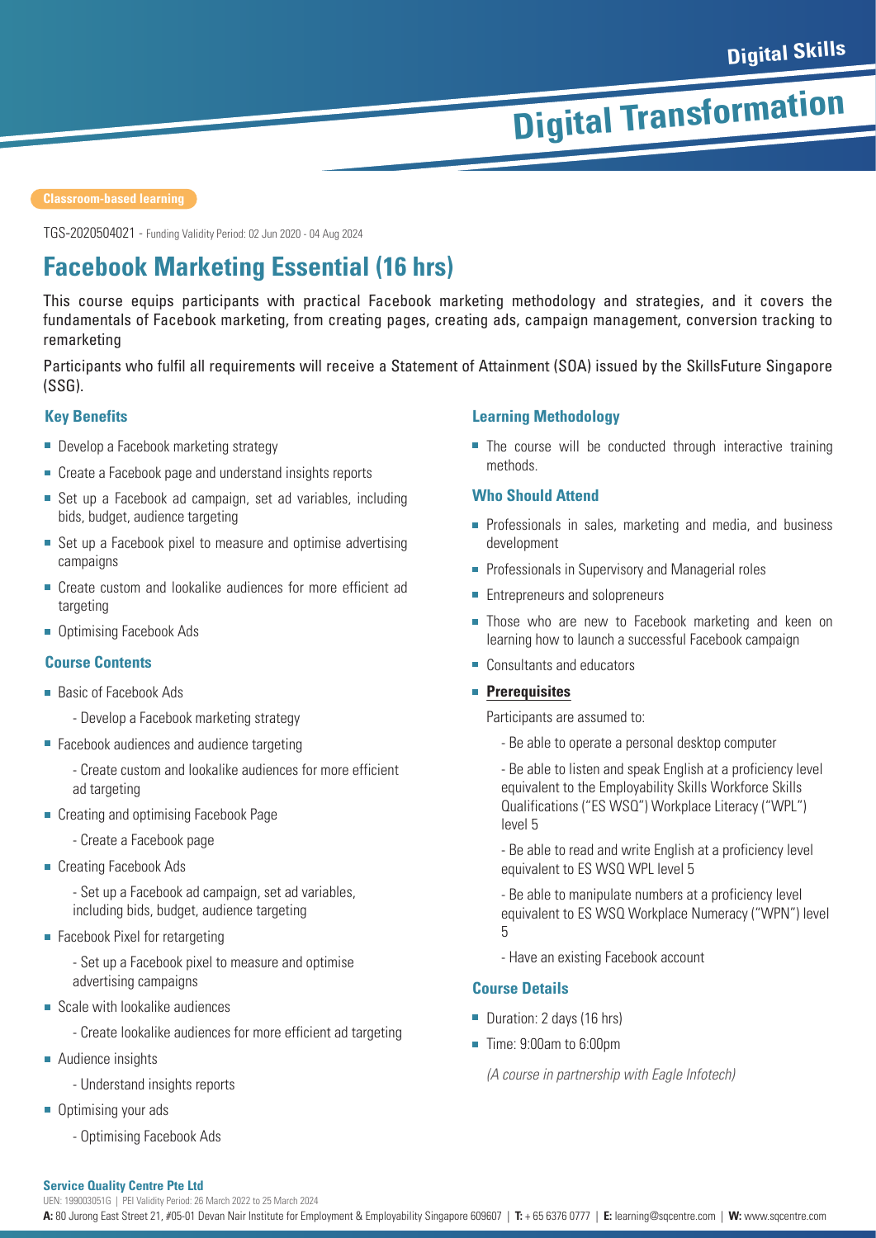TGS-2020504021 - Funding Validity Period: 02 Jun 2020 - 04 Aug 2024

## **Facebook Marketing Essential (16 hrs)**

This course equips participants with practical Facebook marketing methodology and strategies, and it covers the fundamentals of Facebook marketing, from creating pages, creating ads, campaign management, conversion tracking to remarketing

Participants who fulfil all requirements will receive a Statement of Attainment (SOA) issued by the SkillsFuture Singapore (SSG).

### **Key Benefits**

- Develop a Facebook marketing strategy
- Create a Facebook page and understand insights reports
- Set up a Facebook ad campaign, set ad variables, including bids, budget, audience targeting
- Set up a Facebook pixel to measure and optimise advertising campaigns
- **Create custom and lookalike audiences for more efficient ad** targeting
- Optimising Facebook Ads

### **Course Contents**

- Basic of Facebook Ads
	- Develop a Facebook marketing strategy
- Facebook audiences and audience targeting
	- Create custom and lookalike audiences for more efficient ad targeting
- **Creating and optimising Facebook Page** 
	- Create a Facebook page
- Creating Facebook Ads

- Set up a Facebook ad campaign, set ad variables, including bids, budget, audience targeting

**Facebook Pixel for retargeting** 

- Set up a Facebook pixel to measure and optimise advertising campaigns

- Scale with lookalike audiences
	- Create lookalike audiences for more efficient ad targeting
- Audience insights
	- Understand insights reports
- Optimising your ads
	- Optimising Facebook Ads

### **Learning Methodology**

The course will be conducted through interactive training methods.

### **Who Should Attend**

- **Professionals in sales, marketing and media, and business** development
- **Professionals in Supervisory and Managerial roles**
- **Entrepreneurs and solopreneurs**
- **Those who are new to Facebook marketing and keen on** learning how to launch a successful Facebook campaign
- Consultants and educators

### **Prerequisites**

Participants are assumed to:

- Be able to operate a personal desktop computer

- Be able to listen and speak English at a proficiency level equivalent to the Employability Skills Workforce Skills Qualifications ("ES WSQ") Workplace Literacy ("WPL") level 5

- Be able to read and write English at a proficiency level equivalent to ES WSQ WPL level 5

- Be able to manipulate numbers at a proficiency level equivalent to ES WSQ Workplace Numeracy ("WPN") level 5

- Have an existing Facebook account

### **Course Details**

- Duration: 2 days (16 hrs)
- Time: 9:00am to 6:00pm

*(A course in partnership with Eagle Infotech)*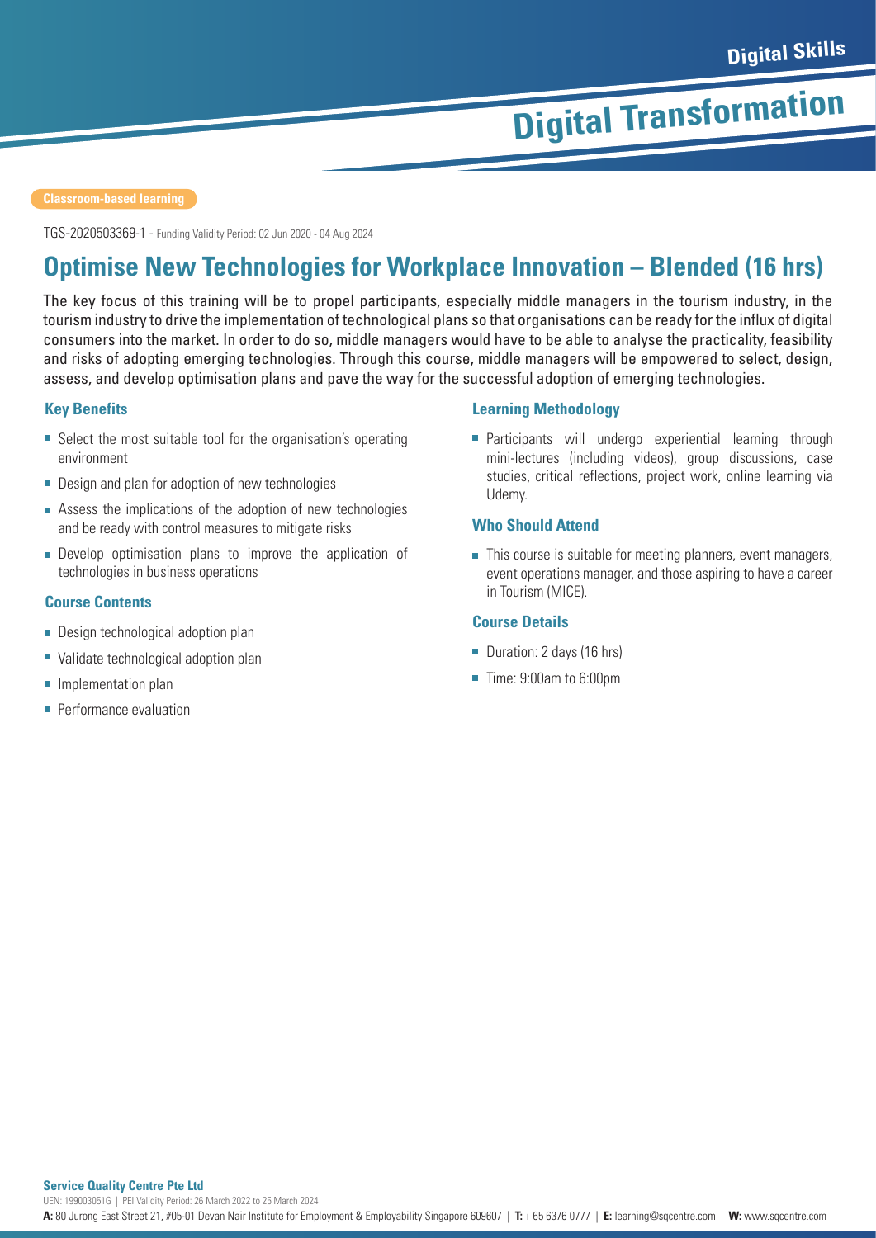TGS-2020503369-1 - Funding Validity Period: 02 Jun 2020 - 04 Aug 2024

## **Optimise New Technologies for Workplace Innovation – Blended (16 hrs)**

The key focus of this training will be to propel participants, especially middle managers in the tourism industry, in the tourism industry to drive the implementation of technological plans so that organisations can be ready for the influx of digital consumers into the market. In order to do so, middle managers would have to be able to analyse the practicality, feasibility and risks of adopting emerging technologies. Through this course, middle managers will be empowered to select, design, assess, and develop optimisation plans and pave the way for the successful adoption of emerging technologies.

### **Key Benefits**

- Select the most suitable tool for the organisation's operating environment
- **Design and plan for adoption of new technologies**
- Assess the implications of the adoption of new technologies and be ready with control measures to mitigate risks
- Develop optimisation plans to improve the application of technologies in business operations

### **Course Contents**

- **Design technological adoption plan**
- Validate technological adoption plan
- **Implementation plan**
- **Performance evaluation**

### **Learning Methodology**

**Participants will undergo experiential learning through** mini-lectures (including videos), group discussions, case studies, critical reflections, project work, online learning via Udemy.

### **Who Should Attend**

This course is suitable for meeting planners, event managers, event operations manager, and those aspiring to have a career in Tourism (MICE).

### **Course Details**

- Duration: 2 days (16 hrs)
- Time: 9:00am to 6:00pm

**Service Quality Centre Pte Ltd A:** 80 Jurong East Street 21, #05-01 Devan Nair Institute for Employment & Employability Singapore 609607 | **T:** + 65 6376 0777 | **E:** learning@sqcentre.com | **W:** www.sqcentre.com UEN: 199003051G | PEI Validity Period: 26 March 2022 to 25 March 2024